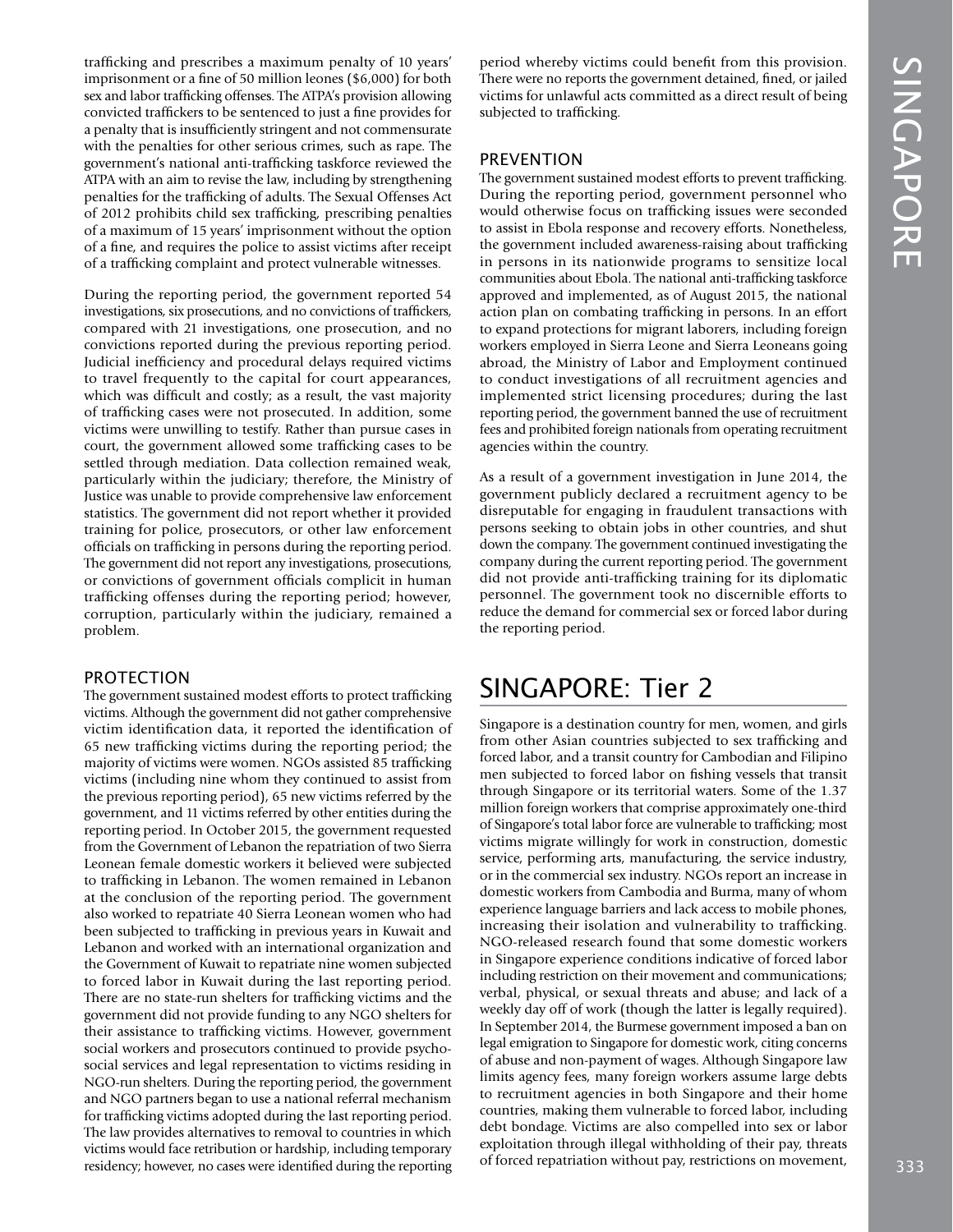trafficking and prescribes a maximum penalty of 10 years' imprisonment or a fine of 50 million leones (\$6,000) for both sex and labor trafficking offenses. The ATPA's provision allowing convicted traffickers to be sentenced to just a fine provides for a penalty that is insufficiently stringent and not commensurate with the penalties for other serious crimes, such as rape. The government's national anti-trafficking taskforce reviewed the ATPA with an aim to revise the law, including by strengthening penalties for the trafficking of adults. The Sexual Offenses Act of 2012 prohibits child sex trafficking, prescribing penalties of a maximum of 15 years' imprisonment without the option of a fine, and requires the police to assist victims after receipt of a trafficking complaint and protect vulnerable witnesses.

During the reporting period, the government reported 54 investigations, six prosecutions, and no convictions of traffickers, compared with 21 investigations, one prosecution, and no convictions reported during the previous reporting period. Judicial inefficiency and procedural delays required victims to travel frequently to the capital for court appearances, which was difficult and costly; as a result, the vast majority of trafficking cases were not prosecuted. In addition, some victims were unwilling to testify. Rather than pursue cases in court, the government allowed some trafficking cases to be settled through mediation. Data collection remained weak, particularly within the judiciary; therefore, the Ministry of Justice was unable to provide comprehensive law enforcement statistics. The government did not report whether it provided training for police, prosecutors, or other law enforcement officials on trafficking in persons during the reporting period. The government did not report any investigations, prosecutions, or convictions of government officials complicit in human trafficking offenses during the reporting period; however, corruption, particularly within the judiciary, remained a problem.

#### PROTECTION

The government sustained modest efforts to protect trafficking victims. Although the government did not gather comprehensive victim identification data, it reported the identification of 65 new trafficking victims during the reporting period; the majority of victims were women. NGOs assisted 85 trafficking victims (including nine whom they continued to assist from the previous reporting period), 65 new victims referred by the government, and 11 victims referred by other entities during the reporting period. In October 2015, the government requested from the Government of Lebanon the repatriation of two Sierra Leonean female domestic workers it believed were subjected to trafficking in Lebanon. The women remained in Lebanon at the conclusion of the reporting period. The government also worked to repatriate 40 Sierra Leonean women who had been subjected to trafficking in previous years in Kuwait and Lebanon and worked with an international organization and the Government of Kuwait to repatriate nine women subjected to forced labor in Kuwait during the last reporting period. There are no state-run shelters for trafficking victims and the government did not provide funding to any NGO shelters for their assistance to trafficking victims. However, government social workers and prosecutors continued to provide psychosocial services and legal representation to victims residing in NGO-run shelters. During the reporting period, the government and NGO partners began to use a national referral mechanism for trafficking victims adopted during the last reporting period. The law provides alternatives to removal to countries in which victims would face retribution or hardship, including temporary residency; however, no cases were identified during the reporting

period whereby victims could benefit from this provision. There were no reports the government detained, fined, or jailed victims for unlawful acts committed as a direct result of being subjected to trafficking.

#### PREVENTION

The government sustained modest efforts to prevent trafficking. During the reporting period, government personnel who would otherwise focus on trafficking issues were seconded to assist in Ebola response and recovery efforts. Nonetheless, the government included awareness-raising about trafficking in persons in its nationwide programs to sensitize local communities about Ebola. The national anti-trafficking taskforce approved and implemented, as of August 2015, the national action plan on combating trafficking in persons. In an effort to expand protections for migrant laborers, including foreign workers employed in Sierra Leone and Sierra Leoneans going abroad, the Ministry of Labor and Employment continued to conduct investigations of all recruitment agencies and implemented strict licensing procedures; during the last reporting period, the government banned the use of recruitment fees and prohibited foreign nationals from operating recruitment agencies within the country.

As a result of a government investigation in June 2014, the government publicly declared a recruitment agency to be disreputable for engaging in fraudulent transactions with persons seeking to obtain jobs in other countries, and shut down the company. The government continued investigating the company during the current reporting period. The government did not provide anti-trafficking training for its diplomatic personnel. The government took no discernible efforts to reduce the demand for commercial sex or forced labor during the reporting period.

# SINGAPORE: Tier 2

Singapore is a destination country for men, women, and girls from other Asian countries subjected to sex trafficking and forced labor, and a transit country for Cambodian and Filipino men subjected to forced labor on fishing vessels that transit through Singapore or its territorial waters. Some of the 1.37 million foreign workers that comprise approximately one-third of Singapore's total labor force are vulnerable to trafficking; most victims migrate willingly for work in construction, domestic service, performing arts, manufacturing, the service industry, or in the commercial sex industry. NGOs report an increase in domestic workers from Cambodia and Burma, many of whom experience language barriers and lack access to mobile phones, increasing their isolation and vulnerability to trafficking. NGO-released research found that some domestic workers in Singapore experience conditions indicative of forced labor including restriction on their movement and communications; verbal, physical, or sexual threats and abuse; and lack of a weekly day off of work (though the latter is legally required). In September 2014, the Burmese government imposed a ban on legal emigration to Singapore for domestic work, citing concerns of abuse and non-payment of wages. Although Singapore law limits agency fees, many foreign workers assume large debts to recruitment agencies in both Singapore and their home countries, making them vulnerable to forced labor, including debt bondage. Victims are also compelled into sex or labor exploitation through illegal withholding of their pay, threats of forced repatriation without pay, restrictions on movement,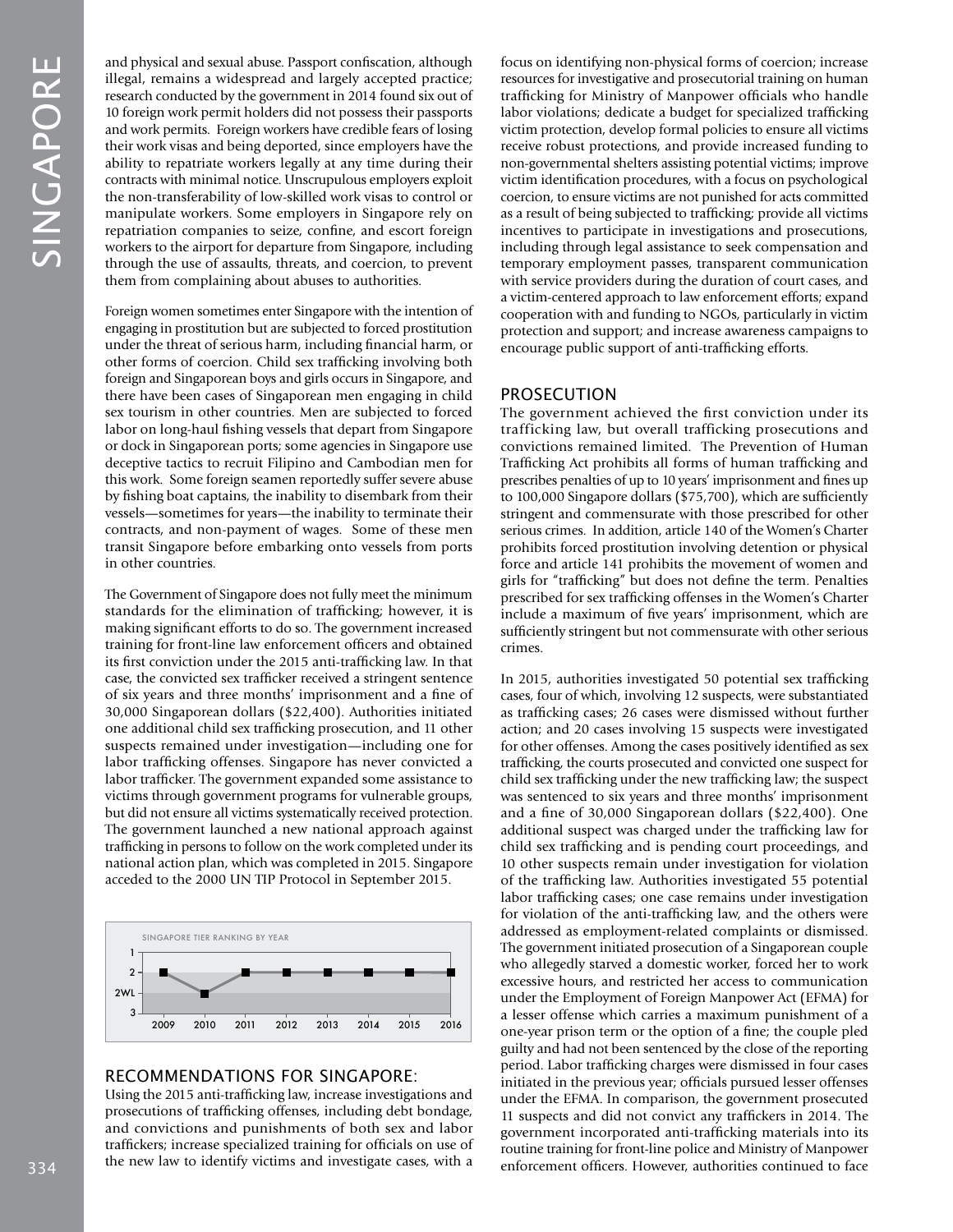and physical and sexual abuse. Passport confiscation, although illegal, remains a widespread and largely accepted practice; research conducted by the government in 2014 found six out of 10 foreign work permit holders did not possess their passports and work permits. Foreign workers have credible fears of losing their work visas and being deported, since employers have the ability to repatriate workers legally at any time during their contracts with minimal notice. Unscrupulous employers exploit the non-transferability of low-skilled work visas to control or manipulate workers. Some employers in Singapore rely on repatriation companies to seize, confine, and escort foreign workers to the airport for departure from Singapore, including through the use of assaults, threats, and coercion, to prevent them from complaining about abuses to authorities.

Foreign women sometimes enter Singapore with the intention of engaging in prostitution but are subjected to forced prostitution under the threat of serious harm, including financial harm, or other forms of coercion. Child sex trafficking involving both foreign and Singaporean boys and girls occurs in Singapore, and there have been cases of Singaporean men engaging in child sex tourism in other countries. Men are subjected to forced labor on long-haul fishing vessels that depart from Singapore or dock in Singaporean ports; some agencies in Singapore use deceptive tactics to recruit Filipino and Cambodian men for this work. Some foreign seamen reportedly suffer severe abuse by fishing boat captains, the inability to disembark from their vessels—sometimes for years—the inability to terminate their contracts, and non-payment of wages. Some of these men transit Singapore before embarking onto vessels from ports in other countries.

The Government of Singapore does not fully meet the minimum standards for the elimination of trafficking; however, it is making significant efforts to do so. The government increased training for front-line law enforcement officers and obtained its first conviction under the 2015 anti-trafficking law. In that case, the convicted sex trafficker received a stringent sentence of six years and three months' imprisonment and a fine of 30,000 Singaporean dollars (\$22,400). Authorities initiated one additional child sex trafficking prosecution, and 11 other suspects remained under investigation—including one for labor trafficking offenses. Singapore has never convicted a labor trafficker. The government expanded some assistance to victims through government programs for vulnerable groups, but did not ensure all victims systematically received protection. The government launched a new national approach against trafficking in persons to follow on the work completed under its national action plan, which was completed in 2015. Singapore acceded to the 2000 UN TIP Protocol in September 2015.



## RECOMMENDATIONS FOR SINGAPORE:

Using the 2015 anti-trafficking law, increase investigations and prosecutions of trafficking offenses, including debt bondage, and convictions and punishments of both sex and labor traffickers; increase specialized training for officials on use of the new law to identify victims and investigate cases, with a

focus on identifying non-physical forms of coercion; increase resources for investigative and prosecutorial training on human trafficking for Ministry of Manpower officials who handle labor violations; dedicate a budget for specialized trafficking victim protection, develop formal policies to ensure all victims receive robust protections, and provide increased funding to non-governmental shelters assisting potential victims; improve victim identification procedures, with a focus on psychological coercion, to ensure victims are not punished for acts committed as a result of being subjected to trafficking; provide all victims incentives to participate in investigations and prosecutions, including through legal assistance to seek compensation and temporary employment passes, transparent communication with service providers during the duration of court cases, and a victim-centered approach to law enforcement efforts; expand cooperation with and funding to NGOs, particularly in victim protection and support; and increase awareness campaigns to encourage public support of anti-trafficking efforts.

#### PROSECUTION

The government achieved the first conviction under its trafficking law, but overall trafficking prosecutions and convictions remained limited. The Prevention of Human Trafficking Act prohibits all forms of human trafficking and prescribes penalties of up to 10 years' imprisonment and fines up to 100,000 Singapore dollars (\$75,700), which are sufficiently stringent and commensurate with those prescribed for other serious crimes. In addition, article 140 of the Women's Charter prohibits forced prostitution involving detention or physical force and article 141 prohibits the movement of women and girls for "trafficking" but does not define the term. Penalties prescribed for sex trafficking offenses in the Women's Charter include a maximum of five years' imprisonment, which are sufficiently stringent but not commensurate with other serious crimes.

In 2015, authorities investigated 50 potential sex trafficking cases, four of which, involving 12 suspects, were substantiated as trafficking cases; 26 cases were dismissed without further action; and 20 cases involving 15 suspects were investigated for other offenses. Among the cases positively identified as sex trafficking, the courts prosecuted and convicted one suspect for child sex trafficking under the new trafficking law; the suspect was sentenced to six years and three months' imprisonment and a fine of 30,000 Singaporean dollars (\$22,400). One additional suspect was charged under the trafficking law for child sex trafficking and is pending court proceedings, and 10 other suspects remain under investigation for violation of the trafficking law. Authorities investigated 55 potential labor trafficking cases; one case remains under investigation for violation of the anti-trafficking law, and the others were addressed as employment-related complaints or dismissed. The government initiated prosecution of a Singaporean couple who allegedly starved a domestic worker, forced her to work excessive hours, and restricted her access to communication under the Employment of Foreign Manpower Act (EFMA) for a lesser offense which carries a maximum punishment of a one-year prison term or the option of a fine; the couple pled guilty and had not been sentenced by the close of the reporting period. Labor trafficking charges were dismissed in four cases initiated in the previous year; officials pursued lesser offenses under the EFMA. In comparison, the government prosecuted 11 suspects and did not convict any traffickers in 2014. The government incorporated anti-trafficking materials into its routine training for front-line police and Ministry of Manpower enforcement officers. However, authorities continued to face